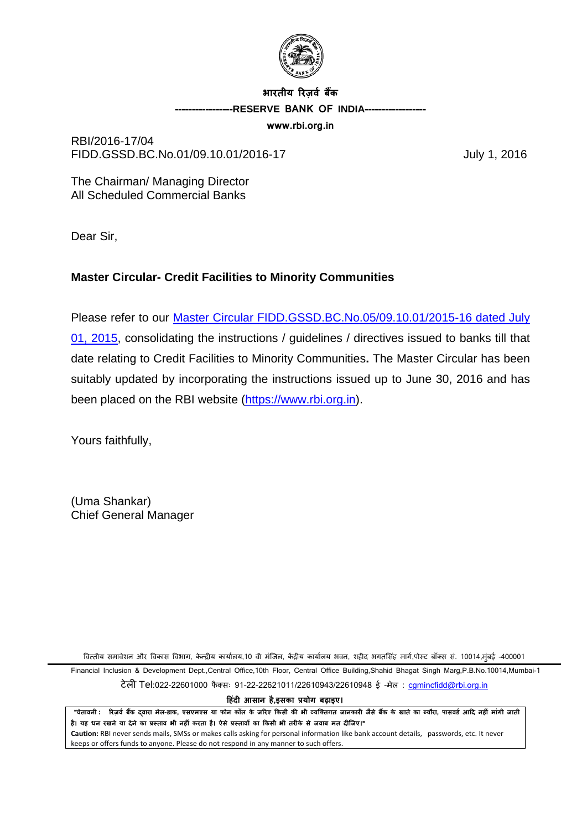

# **भारतीय �रज़वर् बक� -----------------RESERVE BANK OF INDIA------------------**

**www.rbi.org.in**

RBI/2016-17/04 FIDD.GSSD.BC.No.01/09.10.01/2016-17 July 1, 2016

The Chairman/ Managing Director All Scheduled Commercial Banks

Dear Sir,

## **Master Circular- Credit Facilities to Minority Communities**

Please refer to our [Master Circular FIDD.GSSD.BC.No.05/09.10.01/2015-16 dated July](https://www.rbi.org.in/Scripts/BS_ViewMasCirculardetails.aspx?id=9868)  [01, 2015,](https://www.rbi.org.in/Scripts/BS_ViewMasCirculardetails.aspx?id=9868) consolidating the instructions / guidelines / directives issued to banks till that date relating to Credit Facilities to Minority Communities**.** The Master Circular has been suitably updated by incorporating the instructions issued up to June 30, 2016 and has been placed on the RBI website [\(https://www.rbi.org.in\)](https://www.rbi.org.in/).

Yours faithfully,

(Uma Shankar) Chief General Manager

वित्तीय समावेशन और विकास विभाग, केन्द्रीय कार्यालय,10 वी मंजिल, केंद्रीय कार्यालय भवन, शहीद भगतसिंह मार्ग,पोस्ट बॉक्स सं. 10014,मंबई -400001

Financial Inclusion & Development Dept.,Central Office,10th Floor, Central Office Building,Shahid Bhagat Singh Marg,P.B.No.10014,Mumbai-1 टेली Tel:022-22601000 फैक्सः 91-22-22621011/22610943/22610948 ई -मेल: camincfidd@rbi.org.in

**�हंद� आसान है,इसका प्रयोग बढ़ाइए।**

"चेतावनी : रिज़र्व बैंक दवारा मेल-डाक, एसएमएस या फोन कॉल के जरिए किसी की भी व्यक्तिगत जानकारी जैसे बैंक के खाते का ब्यौरा, पासवर्ड आदि नहीं मांगी जाती है। यह धन रखने या देने का प्रस्ताव भी नहीं करता है। ऐसे प्रस्तावों का किसी भी तरीके से जवाब मत दीजिए।" **Caution:** RBI never sends mails, SMSs or makes calls asking for personal information like bank account details, passwords, etc. It never

keeps or offers funds to anyone. Please do not respond in any manner to such offers.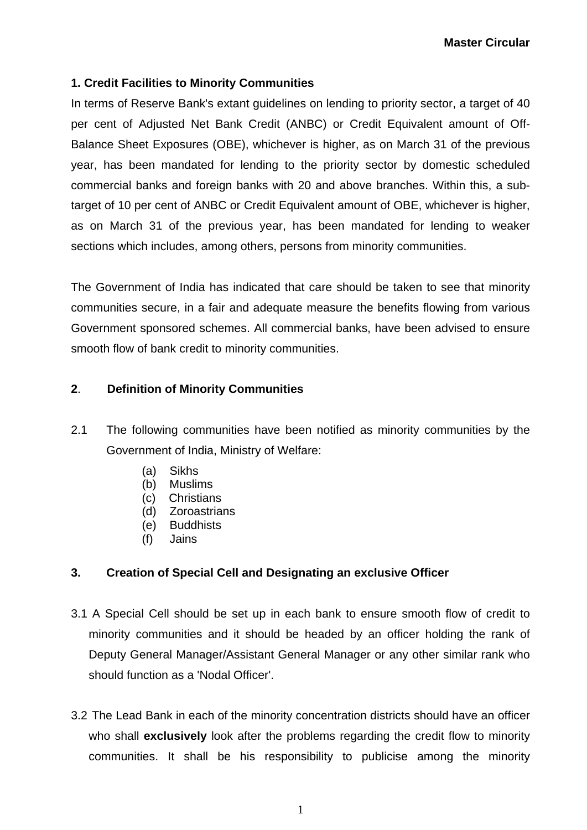## **1. Credit Facilities to Minority Communities**

In terms of Reserve Bank's extant guidelines on lending to priority sector, a target of 40 per cent of Adjusted Net Bank Credit (ANBC) or Credit Equivalent amount of Off-Balance Sheet Exposures (OBE), whichever is higher, as on March 31 of the previous year, has been mandated for lending to the priority sector by domestic scheduled commercial banks and foreign banks with 20 and above branches. Within this, a subtarget of 10 per cent of ANBC or Credit Equivalent amount of OBE, whichever is higher, as on March 31 of the previous year, has been mandated for lending to weaker sections which includes, among others, persons from minority communities.

The Government of India has indicated that care should be taken to see that minority communities secure, in a fair and adequate measure the benefits flowing from various Government sponsored schemes. All commercial banks, have been advised to ensure smooth flow of bank credit to minority communities.

## **2**. **Definition of Minority Communities**

- 2.1 The following communities have been notified as minority communities by the Government of India, Ministry of Welfare:
	- (a) Sikhs
	- (b) Muslims
	- (c) Christians
	- (d) Zoroastrians<br>(e) Buddhists
	- **Buddhists**
	- (f) Jains

### **3. Creation of Special Cell and Designating an exclusive Officer**

- 3.1 A Special Cell should be set up in each bank to ensure smooth flow of credit to minority communities and it should be headed by an officer holding the rank of Deputy General Manager/Assistant General Manager or any other similar rank who should function as a 'Nodal Officer'.
- 3.2 The Lead Bank in each of the minority concentration districts should have an officer who shall **exclusively** look after the problems regarding the credit flow to minority communities. It shall be his responsibility to publicise among the minority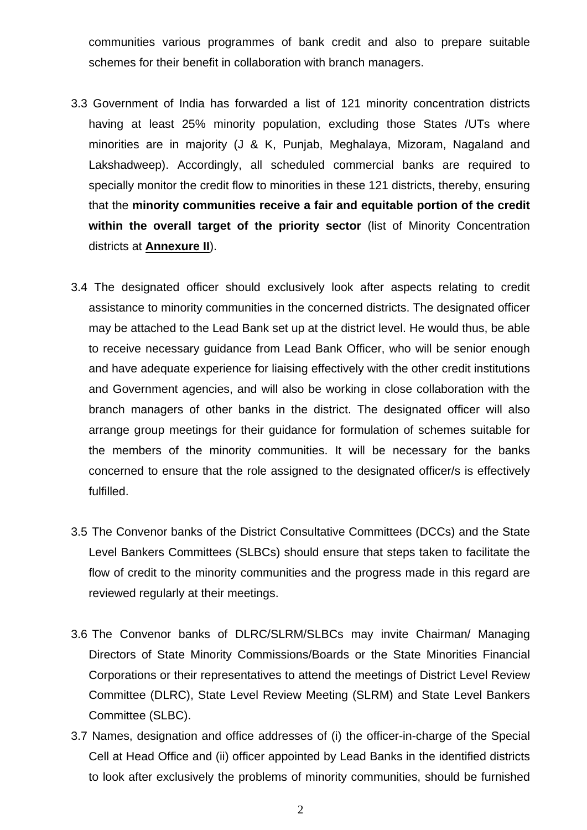communities various programmes of bank credit and also to prepare suitable schemes for their benefit in collaboration with branch managers.

- 3.3 Government of India has forwarded a list of 121 minority concentration districts having at least 25% minority population, excluding those States /UTs where minorities are in majority (J & K, Punjab, Meghalaya, Mizoram, Nagaland and Lakshadweep). Accordingly, all scheduled commercial banks are required to specially monitor the credit flow to minorities in these 121 districts, thereby, ensuring that the **minority communities receive a fair and equitable portion of the credit within the overall target of the priority sector** (list of Minority Concentration districts at **Annexure II**).
- 3.4 The designated officer should exclusively look after aspects relating to credit assistance to minority communities in the concerned districts. The designated officer may be attached to the Lead Bank set up at the district level. He would thus, be able to receive necessary guidance from Lead Bank Officer, who will be senior enough and have adequate experience for liaising effectively with the other credit institutions and Government agencies, and will also be working in close collaboration with the branch managers of other banks in the district. The designated officer will also arrange group meetings for their guidance for formulation of schemes suitable for the members of the minority communities. It will be necessary for the banks concerned to ensure that the role assigned to the designated officer/s is effectively fulfilled.
- 3.5 The Convenor banks of the District Consultative Committees (DCCs) and the State Level Bankers Committees (SLBCs) should ensure that steps taken to facilitate the flow of credit to the minority communities and the progress made in this regard are reviewed regularly at their meetings.
- 3.6 The Convenor banks of DLRC/SLRM/SLBCs may invite Chairman/ Managing Directors of State Minority Commissions/Boards or the State Minorities Financial Corporations or their representatives to attend the meetings of District Level Review Committee (DLRC), State Level Review Meeting (SLRM) and State Level Bankers Committee (SLBC).
- 3.7 Names, designation and office addresses of (i) the officer-in-charge of the Special Cell at Head Office and (ii) officer appointed by Lead Banks in the identified districts to look after exclusively the problems of minority communities, should be furnished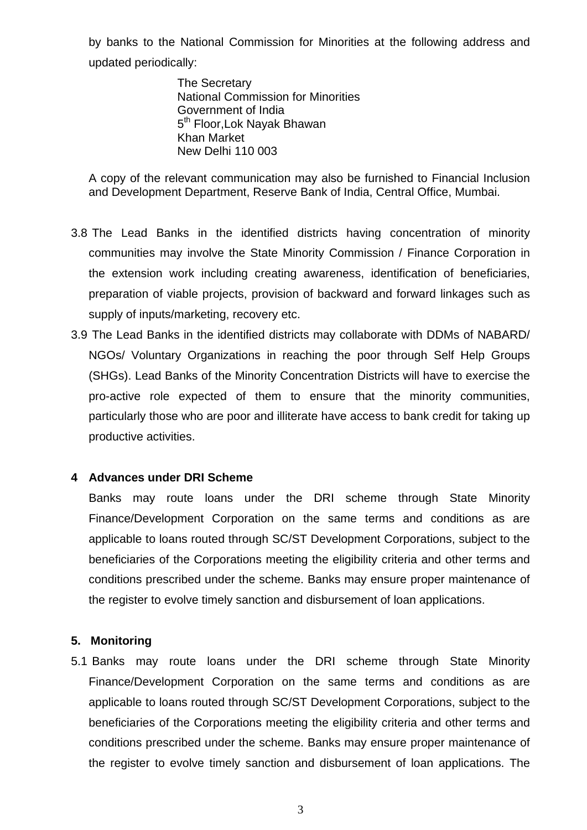by banks to the National Commission for Minorities at the following address and updated periodically:

> The Secretary National Commission for Minorities Government of India 5<sup>th</sup> Floor, Lok Nayak Bhawan Khan Market New Delhi 110 003

A copy of the relevant communication may also be furnished to Financial Inclusion and Development Department, Reserve Bank of India, Central Office, Mumbai.

- 3.8 The Lead Banks in the identified districts having concentration of minority communities may involve the State Minority Commission / Finance Corporation in the extension work including creating awareness, identification of beneficiaries, preparation of viable projects, provision of backward and forward linkages such as supply of inputs/marketing, recovery etc.
- 3.9 The Lead Banks in the identified districts may collaborate with DDMs of NABARD/ NGOs/ Voluntary Organizations in reaching the poor through Self Help Groups (SHGs). Lead Banks of the Minority Concentration Districts will have to exercise the pro-active role expected of them to ensure that the minority communities, particularly those who are poor and illiterate have access to bank credit for taking up productive activities.

### **4 Advances under DRI Scheme**

Banks may route loans under the DRI scheme through State Minority Finance/Development Corporation on the same terms and conditions as are applicable to loans routed through SC/ST Development Corporations, subject to the beneficiaries of the Corporations meeting the eligibility criteria and other terms and conditions prescribed under the scheme. Banks may ensure proper maintenance of the register to evolve timely sanction and disbursement of loan applications.

### **5. Monitoring**

5.1 Banks may route loans under the DRI scheme through State Minority Finance/Development Corporation on the same terms and conditions as are applicable to loans routed through SC/ST Development Corporations, subject to the beneficiaries of the Corporations meeting the eligibility criteria and other terms and conditions prescribed under the scheme. Banks may ensure proper maintenance of the register to evolve timely sanction and disbursement of loan applications. The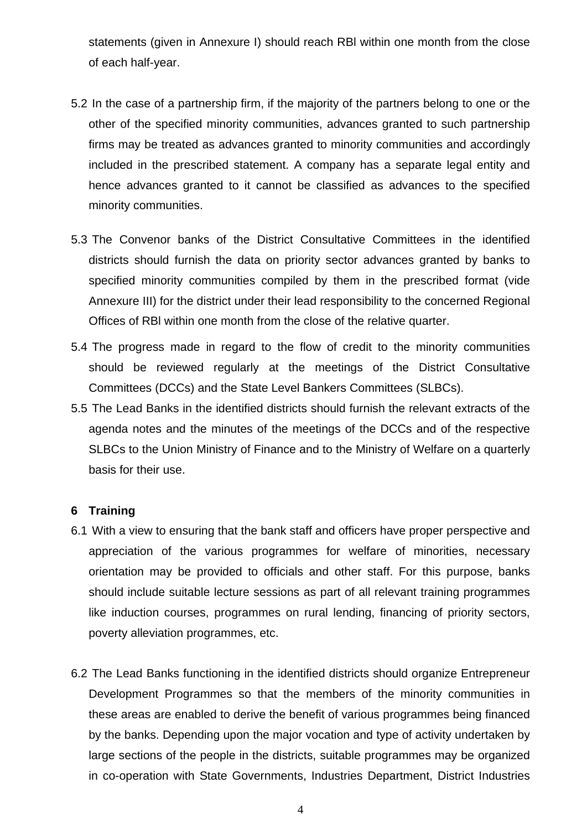statements (given in Annexure I) should reach RBl within one month from the close of each half-year.

- 5.2 In the case of a partnership firm, if the majority of the partners belong to one or the other of the specified minority communities, advances granted to such partnership firms may be treated as advances granted to minority communities and accordingly included in the prescribed statement. A company has a separate legal entity and hence advances granted to it cannot be classified as advances to the specified minority communities.
- 5.3 The Convenor banks of the District Consultative Committees in the identified districts should furnish the data on priority sector advances granted by banks to specified minority communities compiled by them in the prescribed format (vide Annexure III) for the district under their lead responsibility to the concerned Regional Offices of RBl within one month from the close of the relative quarter.
- 5.4 The progress made in regard to the flow of credit to the minority communities should be reviewed regularly at the meetings of the District Consultative Committees (DCCs) and the State Level Bankers Committees (SLBCs).
- 5.5 The Lead Banks in the identified districts should furnish the relevant extracts of the agenda notes and the minutes of the meetings of the DCCs and of the respective SLBCs to the Union Ministry of Finance and to the Ministry of Welfare on a quarterly basis for their use.

### **6 Training**

- 6.1 With a view to ensuring that the bank staff and officers have proper perspective and appreciation of the various programmes for welfare of minorities, necessary orientation may be provided to officials and other staff. For this purpose, banks should include suitable lecture sessions as part of all relevant training programmes like induction courses, programmes on rural lending, financing of priority sectors, poverty alleviation programmes, etc.
- 6.2 The Lead Banks functioning in the identified districts should organize Entrepreneur Development Programmes so that the members of the minority communities in these areas are enabled to derive the benefit of various programmes being financed by the banks. Depending upon the major vocation and type of activity undertaken by large sections of the people in the districts, suitable programmes may be organized in co-operation with State Governments, Industries Department, District Industries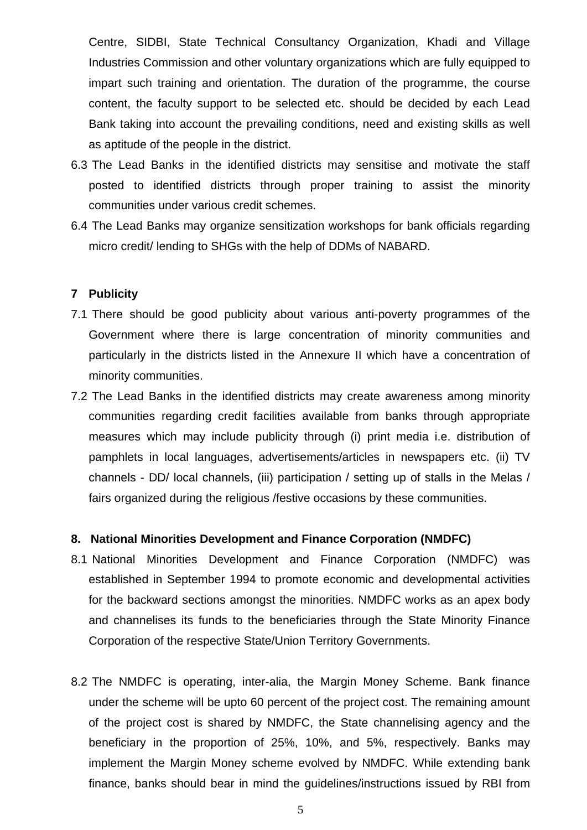Centre, SIDBI, State Technical Consultancy Organization, Khadi and Village Industries Commission and other voluntary organizations which are fully equipped to impart such training and orientation. The duration of the programme, the course content, the faculty support to be selected etc. should be decided by each Lead Bank taking into account the prevailing conditions, need and existing skills as well as aptitude of the people in the district.

- 6.3 The Lead Banks in the identified districts may sensitise and motivate the staff posted to identified districts through proper training to assist the minority communities under various credit schemes.
- 6.4 The Lead Banks may organize sensitization workshops for bank officials regarding micro credit/ lending to SHGs with the help of DDMs of NABARD.

#### **7 Publicity**

- 7.1 There should be good publicity about various anti-poverty programmes of the Government where there is large concentration of minority communities and particularly in the districts listed in the Annexure II which have a concentration of minority communities.
- 7.2 The Lead Banks in the identified districts may create awareness among minority communities regarding credit facilities available from banks through appropriate measures which may include publicity through (i) print media i.e. distribution of pamphlets in local languages, advertisements/articles in newspapers etc. (ii) TV channels - DD/ local channels, (iii) participation / setting up of stalls in the Melas / fairs organized during the religious /festive occasions by these communities.

#### **8. National Minorities Development and Finance Corporation (NMDFC)**

- 8.1 National Minorities Development and Finance Corporation (NMDFC) was established in September 1994 to promote economic and developmental activities for the backward sections amongst the minorities. NMDFC works as an apex body and channelises its funds to the beneficiaries through the State Minority Finance Corporation of the respective State/Union Territory Governments.
- 8.2 The NMDFC is operating, inter-alia, the Margin Money Scheme. Bank finance under the scheme will be upto 60 percent of the project cost. The remaining amount of the project cost is shared by NMDFC, the State channelising agency and the beneficiary in the proportion of 25%, 10%, and 5%, respectively. Banks may implement the Margin Money scheme evolved by NMDFC. While extending bank finance, banks should bear in mind the guidelines/instructions issued by RBI from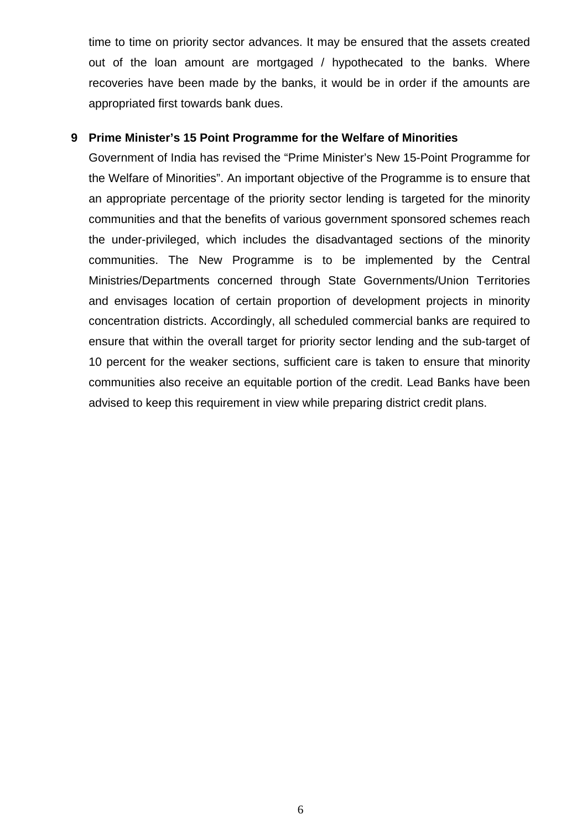time to time on priority sector advances. It may be ensured that the assets created out of the loan amount are mortgaged / hypothecated to the banks. Where recoveries have been made by the banks, it would be in order if the amounts are appropriated first towards bank dues.

### **9 Prime Minister's 15 Point Programme for the Welfare of Minorities**

Government of India has revised the "Prime Minister's New 15-Point Programme for the Welfare of Minorities". An important objective of the Programme is to ensure that an appropriate percentage of the priority sector lending is targeted for the minority communities and that the benefits of various government sponsored schemes reach the under-privileged, which includes the disadvantaged sections of the minority communities. The New Programme is to be implemented by the Central Ministries/Departments concerned through State Governments/Union Territories and envisages location of certain proportion of development projects in minority concentration districts. Accordingly, all scheduled commercial banks are required to ensure that within the overall target for priority sector lending and the sub-target of 10 percent for the weaker sections, sufficient care is taken to ensure that minority communities also receive an equitable portion of the credit. Lead Banks have been advised to keep this requirement in view while preparing district credit plans.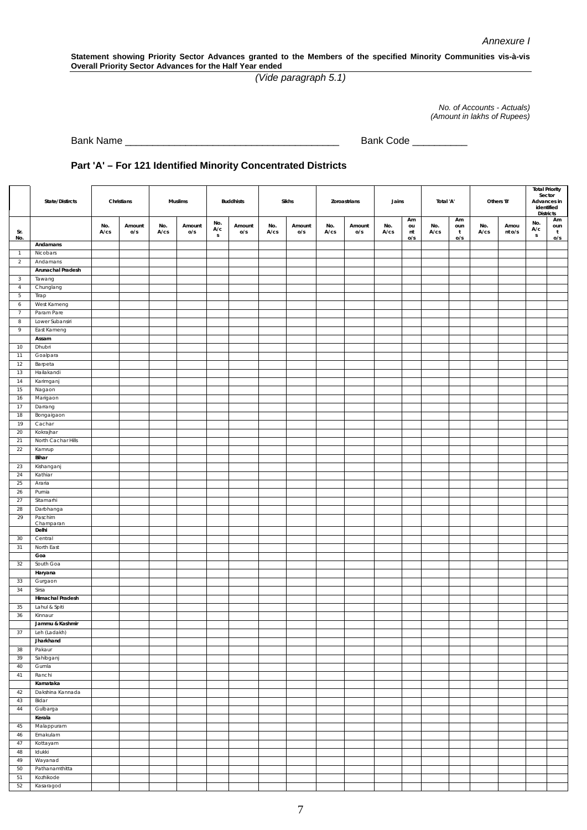**Statement showing Priority Sector Advances granted to the Members of the specified Minority Communities vis-à-vis Overall Priority Sector Advances for the Half Year ended**

*(Vide paragraph 5.1)*

*No. of Accounts - Actuals) (Amount in lakhs of Rupees)*

Bank Name \_\_\_\_\_\_\_\_\_\_\_\_\_\_\_\_\_\_\_\_\_\_\_\_\_\_\_\_\_\_\_\_\_\_\_\_\_\_\_ Bank Code \_\_\_\_\_\_\_\_\_\_

#### **Part 'A' – For 121 Identified Minority Concentrated Districts**

|                               | State/Distircts               |                   | Christians    |                   | Muslims       |                            | <b>Buddhists</b> |                   | Sikhs         |                   | Zoroastrians  | Jains       |                       | Total 'A'         |                                  |                   | Others 'B'     | Sector<br>Advances in<br>identified<br><b>Districts</b> | <b>Total Priority</b>            |
|-------------------------------|-------------------------------|-------------------|---------------|-------------------|---------------|----------------------------|------------------|-------------------|---------------|-------------------|---------------|-------------|-----------------------|-------------------|----------------------------------|-------------------|----------------|---------------------------------------------------------|----------------------------------|
| Sr.<br>No.                    |                               | No.<br>$A$ / $cs$ | Amount<br>O/S | No.<br>$A$ / $cs$ | Amount<br>O/S | No.<br>A/c<br>$\mathsf{s}$ | Amount<br>O/S    | No.<br>$A$ / $cs$ | Amount<br>O/S | No.<br>$A$ / $cs$ | Amount<br>o/s | No.<br>A/cs | Am<br>ou<br>nt<br>O/S | No.<br>$A$ / $cs$ | Am<br>oun<br>$\mathbf{t}$<br>O/S | No.<br>$A$ / $cs$ | Amou<br>nt o/s | No.<br>A/c<br>S                                         | Am<br>oun<br>$\mathbf{t}$<br>O/S |
|                               | Andamans                      |                   |               |                   |               |                            |                  |                   |               |                   |               |             |                       |                   |                                  |                   |                |                                                         |                                  |
| $\overline{1}$                | Nicobars                      |                   |               |                   |               |                            |                  |                   |               |                   |               |             |                       |                   |                                  |                   |                |                                                         |                                  |
| $\overline{2}$                | Andamans                      |                   |               |                   |               |                            |                  |                   |               |                   |               |             |                       |                   |                                  |                   |                |                                                         |                                  |
|                               | Arunachal Pradesh             |                   |               |                   |               |                            |                  |                   |               |                   |               |             |                       |                   |                                  |                   |                |                                                         |                                  |
| $\mathbf{3}$                  | Tawang                        |                   |               |                   |               |                            |                  |                   |               |                   |               |             |                       |                   |                                  |                   |                |                                                         |                                  |
| $\overline{4}$                | Chunglang                     |                   |               |                   |               |                            |                  |                   |               |                   |               |             |                       |                   |                                  |                   |                |                                                         |                                  |
| 5                             | Tirap                         |                   |               |                   |               |                            |                  |                   |               |                   |               |             |                       |                   |                                  |                   |                |                                                         |                                  |
| $\boldsymbol{6}$              | West Kameng                   |                   |               |                   |               |                            |                  |                   |               |                   |               |             |                       |                   |                                  |                   |                |                                                         |                                  |
| $\overline{7}$<br>$\,$ 8 $\,$ | Param Pare<br>Lower Subansiri |                   |               |                   |               |                            |                  |                   |               |                   |               |             |                       |                   |                                  |                   |                |                                                         |                                  |
| 9                             | East Kameng                   |                   |               |                   |               |                            |                  |                   |               |                   |               |             |                       |                   |                                  |                   |                |                                                         |                                  |
|                               | Assam                         |                   |               |                   |               |                            |                  |                   |               |                   |               |             |                       |                   |                                  |                   |                |                                                         |                                  |
| 10                            | Dhubri                        |                   |               |                   |               |                            |                  |                   |               |                   |               |             |                       |                   |                                  |                   |                |                                                         |                                  |
| 11                            | Goalpara                      |                   |               |                   |               |                            |                  |                   |               |                   |               |             |                       |                   |                                  |                   |                |                                                         |                                  |
| 12                            | Barpeta                       |                   |               |                   |               |                            |                  |                   |               |                   |               |             |                       |                   |                                  |                   |                |                                                         |                                  |
| 13                            | Hailakandi                    |                   |               |                   |               |                            |                  |                   |               |                   |               |             |                       |                   |                                  |                   |                |                                                         |                                  |
| 14                            | Karimganj                     |                   |               |                   |               |                            |                  |                   |               |                   |               |             |                       |                   |                                  |                   |                |                                                         |                                  |
| 15                            | Nagaon                        |                   |               |                   |               |                            |                  |                   |               |                   |               |             |                       |                   |                                  |                   |                |                                                         |                                  |
| 16                            | Marigaon                      |                   |               |                   |               |                            |                  |                   |               |                   |               |             |                       |                   |                                  |                   |                |                                                         |                                  |
| 17                            | Darrang                       |                   |               |                   |               |                            |                  |                   |               |                   |               |             |                       |                   |                                  |                   |                |                                                         |                                  |
| 18                            | Bongaigaon                    |                   |               |                   |               |                            |                  |                   |               |                   |               |             |                       |                   |                                  |                   |                |                                                         |                                  |
| 19                            | Cachar                        |                   |               |                   |               |                            |                  |                   |               |                   |               |             |                       |                   |                                  |                   |                |                                                         |                                  |
| 20                            | Kokrajhar                     |                   |               |                   |               |                            |                  |                   |               |                   |               |             |                       |                   |                                  |                   |                |                                                         |                                  |
| 21                            | North Cachar Hills            |                   |               |                   |               |                            |                  |                   |               |                   |               |             |                       |                   |                                  |                   |                |                                                         |                                  |
| 22                            | Kamrup                        |                   |               |                   |               |                            |                  |                   |               |                   |               |             |                       |                   |                                  |                   |                |                                                         |                                  |
|                               | Bihar                         |                   |               |                   |               |                            |                  |                   |               |                   |               |             |                       |                   |                                  |                   |                |                                                         |                                  |
| 23<br>24                      | Kishanganj<br>Kathiar         |                   |               |                   |               |                            |                  |                   |               |                   |               |             |                       |                   |                                  |                   |                |                                                         |                                  |
| 25                            | Araria                        |                   |               |                   |               |                            |                  |                   |               |                   |               |             |                       |                   |                                  |                   |                |                                                         |                                  |
| 26                            | Purnia                        |                   |               |                   |               |                            |                  |                   |               |                   |               |             |                       |                   |                                  |                   |                |                                                         |                                  |
| 27                            | Sitamarhi                     |                   |               |                   |               |                            |                  |                   |               |                   |               |             |                       |                   |                                  |                   |                |                                                         |                                  |
| 28                            | Darbhanga                     |                   |               |                   |               |                            |                  |                   |               |                   |               |             |                       |                   |                                  |                   |                |                                                         |                                  |
| 29                            | Paschim                       |                   |               |                   |               |                            |                  |                   |               |                   |               |             |                       |                   |                                  |                   |                |                                                         |                                  |
|                               | Champaran                     |                   |               |                   |               |                            |                  |                   |               |                   |               |             |                       |                   |                                  |                   |                |                                                         |                                  |
| 30                            | Delhi<br>Central              |                   |               |                   |               |                            |                  |                   |               |                   |               |             |                       |                   |                                  |                   |                |                                                         |                                  |
| 31                            | North East                    |                   |               |                   |               |                            |                  |                   |               |                   |               |             |                       |                   |                                  |                   |                |                                                         |                                  |
|                               | Goa                           |                   |               |                   |               |                            |                  |                   |               |                   |               |             |                       |                   |                                  |                   |                |                                                         |                                  |
| 32                            | South Goa                     |                   |               |                   |               |                            |                  |                   |               |                   |               |             |                       |                   |                                  |                   |                |                                                         |                                  |
|                               | Haryana                       |                   |               |                   |               |                            |                  |                   |               |                   |               |             |                       |                   |                                  |                   |                |                                                         |                                  |
| 33                            | Gurgaon                       |                   |               |                   |               |                            |                  |                   |               |                   |               |             |                       |                   |                                  |                   |                |                                                         |                                  |
| 34                            | Sirsa                         |                   |               |                   |               |                            |                  |                   |               |                   |               |             |                       |                   |                                  |                   |                |                                                         |                                  |
|                               | Himachal Pradesh              |                   |               |                   |               |                            |                  |                   |               |                   |               |             |                       |                   |                                  |                   |                |                                                         |                                  |
| 35                            | Lahul & Spiti                 |                   |               |                   |               |                            |                  |                   |               |                   |               |             |                       |                   |                                  |                   |                |                                                         |                                  |
| 36                            | Kinnaur                       |                   |               |                   |               |                            |                  |                   |               |                   |               |             |                       |                   |                                  |                   |                |                                                         |                                  |
|                               | Jammu & Kashmir               |                   |               |                   |               |                            |                  |                   |               |                   |               |             |                       |                   |                                  |                   |                |                                                         |                                  |
| 37                            | Leh (Ladakh)                  |                   |               |                   |               |                            |                  |                   |               |                   |               |             |                       |                   |                                  |                   |                |                                                         |                                  |
|                               | Jharkhand                     |                   |               |                   |               |                            |                  |                   |               |                   |               |             |                       |                   |                                  |                   |                |                                                         |                                  |
| 38                            | Pakaur                        |                   |               |                   |               |                            |                  |                   |               |                   |               |             |                       |                   |                                  |                   |                |                                                         |                                  |
| 39                            | Sahibganj                     |                   |               |                   |               |                            |                  |                   |               |                   |               |             |                       |                   |                                  |                   |                |                                                         |                                  |
| 40<br>$41\,$                  | Gumla                         |                   |               |                   |               |                            |                  |                   |               |                   |               |             |                       |                   |                                  |                   |                |                                                         |                                  |
|                               | Ranchi<br>Karnataka           |                   |               |                   |               |                            |                  |                   |               |                   |               |             |                       |                   |                                  |                   |                |                                                         |                                  |
| 42                            | Dakshina Kannada              |                   |               |                   |               |                            |                  |                   |               |                   |               |             |                       |                   |                                  |                   |                |                                                         |                                  |
| 43                            | Bidar                         |                   |               |                   |               |                            |                  |                   |               |                   |               |             |                       |                   |                                  |                   |                |                                                         |                                  |
| 44                            | Gulbarga                      |                   |               |                   |               |                            |                  |                   |               |                   |               |             |                       |                   |                                  |                   |                |                                                         |                                  |
|                               | Kerala                        |                   |               |                   |               |                            |                  |                   |               |                   |               |             |                       |                   |                                  |                   |                |                                                         |                                  |
| 45                            | Malappuram                    |                   |               |                   |               |                            |                  |                   |               |                   |               |             |                       |                   |                                  |                   |                |                                                         |                                  |
| 46                            | Ernakulam                     |                   |               |                   |               |                            |                  |                   |               |                   |               |             |                       |                   |                                  |                   |                |                                                         |                                  |
| 47                            | Kottayam                      |                   |               |                   |               |                            |                  |                   |               |                   |               |             |                       |                   |                                  |                   |                |                                                         |                                  |
| 48                            | Idukki                        |                   |               |                   |               |                            |                  |                   |               |                   |               |             |                       |                   |                                  |                   |                |                                                         |                                  |
| 49                            | Wayanad                       |                   |               |                   |               |                            |                  |                   |               |                   |               |             |                       |                   |                                  |                   |                |                                                         |                                  |
| 50                            | Pathanamthitta                |                   |               |                   |               |                            |                  |                   |               |                   |               |             |                       |                   |                                  |                   |                |                                                         |                                  |
| 51                            | Kozhikode                     |                   |               |                   |               |                            |                  |                   |               |                   |               |             |                       |                   |                                  |                   |                |                                                         |                                  |
| 52                            | Kasaragod                     |                   |               |                   |               |                            |                  |                   |               |                   |               |             |                       |                   |                                  |                   |                |                                                         |                                  |
|                               |                               |                   |               |                   |               |                            |                  |                   |               |                   |               |             |                       |                   |                                  |                   |                |                                                         |                                  |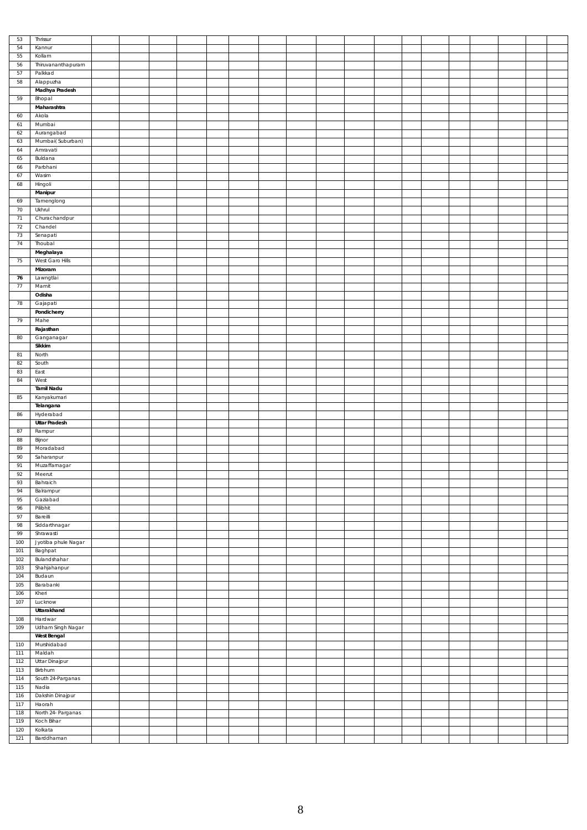| 53         | Thrissur              |  |  |  |  |  |  |  |  |  |
|------------|-----------------------|--|--|--|--|--|--|--|--|--|
| 54         | Kannur                |  |  |  |  |  |  |  |  |  |
| 55         | Kollam                |  |  |  |  |  |  |  |  |  |
|            |                       |  |  |  |  |  |  |  |  |  |
| 56         | Thiruvananthapuram    |  |  |  |  |  |  |  |  |  |
| 57         | Palkkad               |  |  |  |  |  |  |  |  |  |
| 58         | Alappuzha             |  |  |  |  |  |  |  |  |  |
|            | Madhya Pradesh        |  |  |  |  |  |  |  |  |  |
| 59         | Bhopal                |  |  |  |  |  |  |  |  |  |
|            |                       |  |  |  |  |  |  |  |  |  |
|            | Maharashtra           |  |  |  |  |  |  |  |  |  |
| 60         | Akola                 |  |  |  |  |  |  |  |  |  |
| 61         | Mumbai                |  |  |  |  |  |  |  |  |  |
| 62         | Aurangabad            |  |  |  |  |  |  |  |  |  |
| 63         | Mumbai(Suburban)      |  |  |  |  |  |  |  |  |  |
| 64         | Amravati              |  |  |  |  |  |  |  |  |  |
|            |                       |  |  |  |  |  |  |  |  |  |
| 65         | Buldana               |  |  |  |  |  |  |  |  |  |
| 66         | Parbhani              |  |  |  |  |  |  |  |  |  |
| 67         | Wasim                 |  |  |  |  |  |  |  |  |  |
| 68         | Hingoli               |  |  |  |  |  |  |  |  |  |
|            | Manipur               |  |  |  |  |  |  |  |  |  |
| 69         | Tamenglong            |  |  |  |  |  |  |  |  |  |
|            |                       |  |  |  |  |  |  |  |  |  |
| $70\,$     | Ukhrul                |  |  |  |  |  |  |  |  |  |
| $71\,$     | Churachandpur         |  |  |  |  |  |  |  |  |  |
| 72         | Chandel               |  |  |  |  |  |  |  |  |  |
| 73         | Senapati              |  |  |  |  |  |  |  |  |  |
| $74\,$     | Thoubal               |  |  |  |  |  |  |  |  |  |
|            | Meghalaya             |  |  |  |  |  |  |  |  |  |
| 75         | West Garo Hills       |  |  |  |  |  |  |  |  |  |
|            |                       |  |  |  |  |  |  |  |  |  |
|            | Mizoram               |  |  |  |  |  |  |  |  |  |
| 76         | Lawngtlai             |  |  |  |  |  |  |  |  |  |
| 77         | Mamit                 |  |  |  |  |  |  |  |  |  |
|            | Odisha                |  |  |  |  |  |  |  |  |  |
| 78         | Gajapati              |  |  |  |  |  |  |  |  |  |
|            | Pondicherry           |  |  |  |  |  |  |  |  |  |
|            |                       |  |  |  |  |  |  |  |  |  |
| 79         | Mahe                  |  |  |  |  |  |  |  |  |  |
|            | Rajasthan             |  |  |  |  |  |  |  |  |  |
| 80         | Ganganagar            |  |  |  |  |  |  |  |  |  |
|            | Sikkim                |  |  |  |  |  |  |  |  |  |
| 81         | North                 |  |  |  |  |  |  |  |  |  |
| 82         | South                 |  |  |  |  |  |  |  |  |  |
|            |                       |  |  |  |  |  |  |  |  |  |
| 83         | East                  |  |  |  |  |  |  |  |  |  |
| 84         | West                  |  |  |  |  |  |  |  |  |  |
|            | Tamil Nadu            |  |  |  |  |  |  |  |  |  |
| 85         | Kanyakumari           |  |  |  |  |  |  |  |  |  |
|            | Telangana             |  |  |  |  |  |  |  |  |  |
|            |                       |  |  |  |  |  |  |  |  |  |
|            |                       |  |  |  |  |  |  |  |  |  |
| 86         | Hyderabad             |  |  |  |  |  |  |  |  |  |
|            | <b>Uttar Pradesh</b>  |  |  |  |  |  |  |  |  |  |
| 87         | Rampur                |  |  |  |  |  |  |  |  |  |
| 88         | Bijnor                |  |  |  |  |  |  |  |  |  |
| 89         | Moradabad             |  |  |  |  |  |  |  |  |  |
| 90         |                       |  |  |  |  |  |  |  |  |  |
|            | Saharanpur            |  |  |  |  |  |  |  |  |  |
| 91         | Muzaffarnagar         |  |  |  |  |  |  |  |  |  |
| $92\,$     | Meerut                |  |  |  |  |  |  |  |  |  |
| 93         | Bahraich              |  |  |  |  |  |  |  |  |  |
| 94         | Balrampur             |  |  |  |  |  |  |  |  |  |
| 95         | Gaziabad              |  |  |  |  |  |  |  |  |  |
| 96         | Pilibhit              |  |  |  |  |  |  |  |  |  |
| 97         | Bareilli              |  |  |  |  |  |  |  |  |  |
| 98         | Siddarthnagar         |  |  |  |  |  |  |  |  |  |
| 99         | Shrawasti             |  |  |  |  |  |  |  |  |  |
|            |                       |  |  |  |  |  |  |  |  |  |
| 100        | Jyotiba phule Nagar   |  |  |  |  |  |  |  |  |  |
| 101        | Baghpat               |  |  |  |  |  |  |  |  |  |
| 102        | Bulandshahar          |  |  |  |  |  |  |  |  |  |
| 103        | Shahjahanpur          |  |  |  |  |  |  |  |  |  |
| 104        | Budaun                |  |  |  |  |  |  |  |  |  |
| 105        | Barabanki             |  |  |  |  |  |  |  |  |  |
| 106        | Kheri                 |  |  |  |  |  |  |  |  |  |
|            |                       |  |  |  |  |  |  |  |  |  |
| 107        | Lucknow               |  |  |  |  |  |  |  |  |  |
|            | Uttarakhand           |  |  |  |  |  |  |  |  |  |
| 108        | Hardwar               |  |  |  |  |  |  |  |  |  |
| 109        | Udham Singh Nagar     |  |  |  |  |  |  |  |  |  |
|            | West Bengal           |  |  |  |  |  |  |  |  |  |
| 110        | Murshidabad           |  |  |  |  |  |  |  |  |  |
| 111        | Maldah                |  |  |  |  |  |  |  |  |  |
|            |                       |  |  |  |  |  |  |  |  |  |
| 112        | Uttar Dinajpur        |  |  |  |  |  |  |  |  |  |
| 113        | Birbhum               |  |  |  |  |  |  |  |  |  |
| 114        | South 24-Parganas     |  |  |  |  |  |  |  |  |  |
| 115        | Nadia                 |  |  |  |  |  |  |  |  |  |
| 116        | Dakshin Dinajpur      |  |  |  |  |  |  |  |  |  |
| 117        | Haorah                |  |  |  |  |  |  |  |  |  |
| 118        |                       |  |  |  |  |  |  |  |  |  |
|            | North 24- Parganas    |  |  |  |  |  |  |  |  |  |
| 119        | Koch Bihar            |  |  |  |  |  |  |  |  |  |
| 120<br>121 | Kolkata<br>Barddhaman |  |  |  |  |  |  |  |  |  |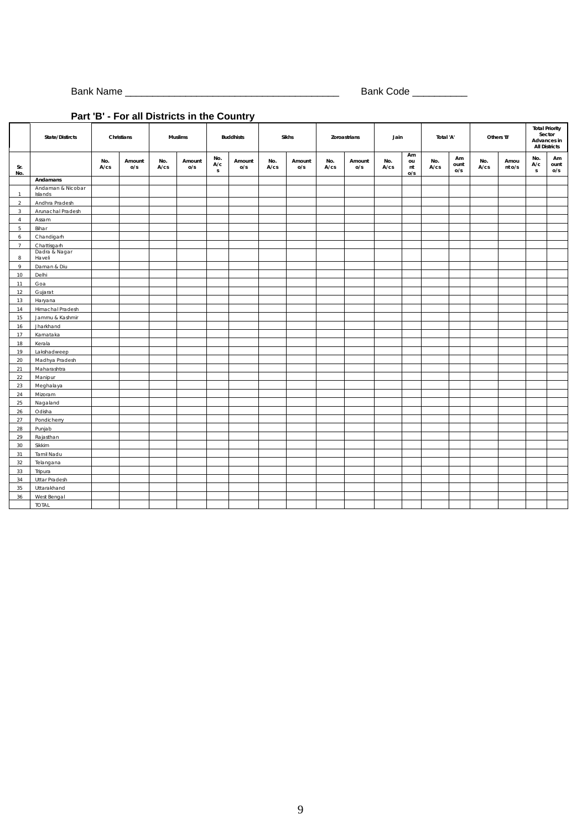Bank Name \_\_\_\_\_\_\_\_\_\_\_\_\_\_\_\_\_\_\_\_\_\_\_\_\_\_\_\_\_\_\_\_\_\_\_\_\_\_\_ Bank Code \_\_\_\_\_\_\_\_\_\_

## **Part 'B' - For all Districts in the Country**

|                |                              |             | r art D - r or an Districts in the Country |                   |               |                            |                  |             |               |             |               |             |                       |             |                   |             |                |                            |                                                                        |
|----------------|------------------------------|-------------|--------------------------------------------|-------------------|---------------|----------------------------|------------------|-------------|---------------|-------------|---------------|-------------|-----------------------|-------------|-------------------|-------------|----------------|----------------------------|------------------------------------------------------------------------|
|                | State/Distircts              |             | Christians                                 |                   | Muslims       |                            | <b>Buddhists</b> |             | Sikhs         |             | Zoroastrians  | Jain        |                       | Total 'A'   |                   |             | Others 'B'     |                            | <b>Total Priority</b><br>Sector<br>Advances in<br><b>All Districts</b> |
| Sr.<br>No.     |                              | No.<br>A/cs | Amount<br>O/S                              | No.<br>$A$ / $cs$ | Amount<br>O/S | No.<br>A/c<br>$\mathsf{s}$ | Amount<br>o/s    | No.<br>A/cs | Amount<br>O/S | No.<br>A/cs | Amount<br>O/S | No.<br>A/cs | Am<br>ou<br>nt<br>O/S | No.<br>A/cs | Am<br>ount<br>O/S | No.<br>A/cs | Amou<br>nt o/s | No.<br>A/c<br>$\mathsf{s}$ | Am<br>ount<br>O/S                                                      |
|                | Andamans                     |             |                                            |                   |               |                            |                  |             |               |             |               |             |                       |             |                   |             |                |                            |                                                                        |
| $\mathbf{1}$   | Andaman & Nicobar<br>Islands |             |                                            |                   |               |                            |                  |             |               |             |               |             |                       |             |                   |             |                |                            |                                                                        |
| $\overline{2}$ | Andhra Pradesh               |             |                                            |                   |               |                            |                  |             |               |             |               |             |                       |             |                   |             |                |                            |                                                                        |
| $\mathbf{3}$   | Arunachal Pradesh            |             |                                            |                   |               |                            |                  |             |               |             |               |             |                       |             |                   |             |                |                            |                                                                        |
| $\overline{4}$ | Assam                        |             |                                            |                   |               |                            |                  |             |               |             |               |             |                       |             |                   |             |                |                            |                                                                        |
| 5              | Bihar                        |             |                                            |                   |               |                            |                  |             |               |             |               |             |                       |             |                   |             |                |                            |                                                                        |
| 6              | Chandigarh                   |             |                                            |                   |               |                            |                  |             |               |             |               |             |                       |             |                   |             |                |                            |                                                                        |
| $\overline{7}$ | Chattisgarh                  |             |                                            |                   |               |                            |                  |             |               |             |               |             |                       |             |                   |             |                |                            |                                                                        |
| 8              | Dadra & Nagar<br>Haveli      |             |                                            |                   |               |                            |                  |             |               |             |               |             |                       |             |                   |             |                |                            |                                                                        |
| $\circ$        | Daman & Diu                  |             |                                            |                   |               |                            |                  |             |               |             |               |             |                       |             |                   |             |                |                            |                                                                        |
| 10             | Delhi                        |             |                                            |                   |               |                            |                  |             |               |             |               |             |                       |             |                   |             |                |                            |                                                                        |
| 11             | Goa                          |             |                                            |                   |               |                            |                  |             |               |             |               |             |                       |             |                   |             |                |                            |                                                                        |
| 12             | Gujarat                      |             |                                            |                   |               |                            |                  |             |               |             |               |             |                       |             |                   |             |                |                            |                                                                        |
| 13             | Haryana                      |             |                                            |                   |               |                            |                  |             |               |             |               |             |                       |             |                   |             |                |                            |                                                                        |
| 14             | Himachal Pradesh             |             |                                            |                   |               |                            |                  |             |               |             |               |             |                       |             |                   |             |                |                            |                                                                        |
| 15             | Jammu & Kashmir              |             |                                            |                   |               |                            |                  |             |               |             |               |             |                       |             |                   |             |                |                            |                                                                        |
| 16             | Jharkhand                    |             |                                            |                   |               |                            |                  |             |               |             |               |             |                       |             |                   |             |                |                            |                                                                        |
| 17             | Karnataka                    |             |                                            |                   |               |                            |                  |             |               |             |               |             |                       |             |                   |             |                |                            |                                                                        |
| 18             | Kerala                       |             |                                            |                   |               |                            |                  |             |               |             |               |             |                       |             |                   |             |                |                            |                                                                        |
| 19             | Lakshadweep                  |             |                                            |                   |               |                            |                  |             |               |             |               |             |                       |             |                   |             |                |                            |                                                                        |
| 20             | Madhya Pradesh               |             |                                            |                   |               |                            |                  |             |               |             |               |             |                       |             |                   |             |                |                            |                                                                        |
| 21             | Maharashtra                  |             |                                            |                   |               |                            |                  |             |               |             |               |             |                       |             |                   |             |                |                            |                                                                        |
| 22             | Manipur                      |             |                                            |                   |               |                            |                  |             |               |             |               |             |                       |             |                   |             |                |                            |                                                                        |
| 23             | Meghalaya                    |             |                                            |                   |               |                            |                  |             |               |             |               |             |                       |             |                   |             |                |                            |                                                                        |
| 24             | Mizoram                      |             |                                            |                   |               |                            |                  |             |               |             |               |             |                       |             |                   |             |                |                            |                                                                        |
| 25             | Nagaland                     |             |                                            |                   |               |                            |                  |             |               |             |               |             |                       |             |                   |             |                |                            |                                                                        |
| 26             | Odisha                       |             |                                            |                   |               |                            |                  |             |               |             |               |             |                       |             |                   |             |                |                            |                                                                        |
| 27             | Pondicherry                  |             |                                            |                   |               |                            |                  |             |               |             |               |             |                       |             |                   |             |                |                            |                                                                        |
| 28             | Punjab                       |             |                                            |                   |               |                            |                  |             |               |             |               |             |                       |             |                   |             |                |                            |                                                                        |
| 29             | Rajasthan                    |             |                                            |                   |               |                            |                  |             |               |             |               |             |                       |             |                   |             |                |                            |                                                                        |
| 30             | Sikkim                       |             |                                            |                   |               |                            |                  |             |               |             |               |             |                       |             |                   |             |                |                            |                                                                        |
| 31             | Tamil Nadu                   |             |                                            |                   |               |                            |                  |             |               |             |               |             |                       |             |                   |             |                |                            |                                                                        |
| 32             | Telangana                    |             |                                            |                   |               |                            |                  |             |               |             |               |             |                       |             |                   |             |                |                            |                                                                        |
| 33             | Tripura                      |             |                                            |                   |               |                            |                  |             |               |             |               |             |                       |             |                   |             |                |                            |                                                                        |
| 34             | Uttar Pradesh                |             |                                            |                   |               |                            |                  |             |               |             |               |             |                       |             |                   |             |                |                            |                                                                        |
| 35             | Uttarakhand                  |             |                                            |                   |               |                            |                  |             |               |             |               |             |                       |             |                   |             |                |                            |                                                                        |
| 36             | West Bengal                  |             |                                            |                   |               |                            |                  |             |               |             |               |             |                       |             |                   |             |                |                            |                                                                        |
|                | <b>TOTAL</b>                 |             |                                            |                   |               |                            |                  |             |               |             |               |             |                       |             |                   |             |                |                            |                                                                        |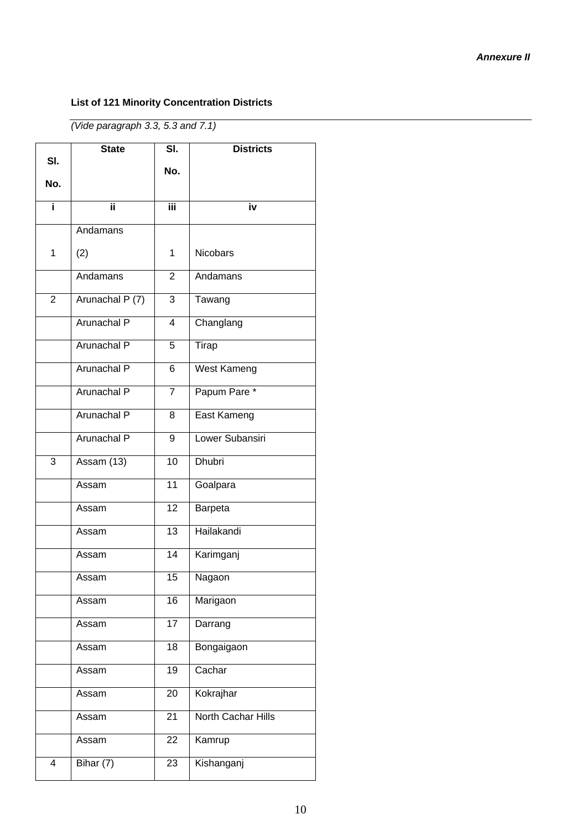#### *Annexure II*

## **List of 121 Minority Concentration Districts**

*(Vide paragraph 3.3, 5.3 and 7.1)*

|                | <b>State</b>       | SI.             | <b>Districts</b>   |
|----------------|--------------------|-----------------|--------------------|
| SI.            |                    | No.             |                    |
| No.            |                    |                 |                    |
| i.             | ii.                | Ϊii             | iv                 |
|                | Andamans           |                 |                    |
| 1              | (2)                | 1               | <b>Nicobars</b>    |
|                | Andamans           | $\overline{2}$  | Andamans           |
| $\overline{2}$ | Arunachal P (7)    | $\overline{3}$  | Tawang             |
|                | Arunachal P        | $\overline{4}$  | Changlang          |
|                | Arunachal P        | 5               | Tirap              |
|                | Arunachal P        | 6               | <b>West Kameng</b> |
|                | <b>Arunachal P</b> | 7               | Papum Pare *       |
|                | Arunachal P        | 8               | East Kameng        |
|                | Arunachal P        | 9               | Lower Subansiri    |
| 3              | Assam (13)         | 10              | <b>Dhubri</b>      |
|                | Assam              | 11              | Goalpara           |
|                | Assam              | 12              | Barpeta            |
|                | Assam              | 13              | Hailakandi         |
|                | Assam              | 14              | Karimganj          |
|                | Assam              | 15              | Nagaon             |
|                | Assam              | $\overline{16}$ | Marigaon           |
|                | Assam              | 17              | Darrang            |
|                | Assam              | 18              | Bongaigaon         |
|                | Assam              | $\overline{19}$ | Cachar             |
|                | Assam              | 20              | Kokrajhar          |
|                | Assam              | 21              | North Cachar Hills |
|                | Assam              | 22              | Kamrup             |
| 4              | Bihar $(7)$        | 23              | Kishanganj         |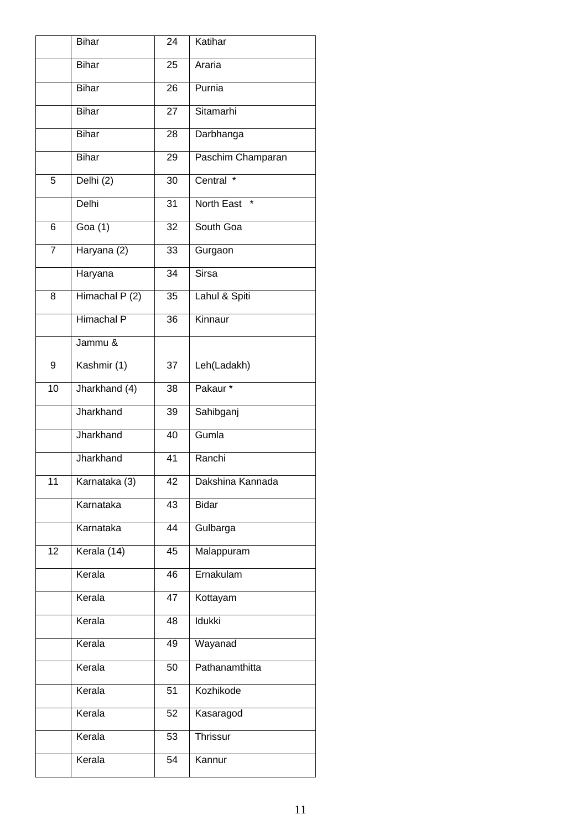|                | <b>Bihar</b>      | 24 | Katihar               |
|----------------|-------------------|----|-----------------------|
|                | <b>Bihar</b>      | 25 | Araria                |
|                | <b>Bihar</b>      | 26 | Purnia                |
|                | <b>Bihar</b>      | 27 | Sitamarhi             |
|                | <b>Bihar</b>      | 28 | Darbhanga             |
|                | <b>Bihar</b>      | 29 | Paschim Champaran     |
| 5              | Delhi (2)         | 30 | Central<br>$\star$    |
|                | Delhi             | 31 | North East<br>$\star$ |
| 6              | Goa $(1)$         | 32 | South Goa             |
| $\overline{7}$ | Haryana (2)       | 33 | Gurgaon               |
|                | Haryana           | 34 | <b>Sirsa</b>          |
| 8              | Himachal $P(2)$   | 35 | Lahul & Spiti         |
|                | <b>Himachal P</b> | 36 | Kinnaur               |
|                | Jammu &           |    |                       |
| 9              | Kashmir (1)       | 37 | Leh(Ladakh)           |
| 10             | Jharkhand (4)     | 38 | Pakaur*               |
|                | Jharkhand         | 39 | Sahibganj             |
|                | Jharkhand         | 40 | Gumla                 |
|                | Jharkhand         | 41 | Ranchi                |
| 11             | Karnataka (3)     | 42 | Dakshina Kannada      |
|                | Karnataka         | 43 | <b>Bidar</b>          |
|                | Karnataka         | 44 | Gulbarga              |
| 12             | Kerala (14)       | 45 | Malappuram            |
|                | Kerala            | 46 | Ernakulam             |
|                | Kerala            | 47 | Kottayam              |
|                | Kerala            | 48 | Idukki                |
|                | Kerala            | 49 | Wayanad               |
|                | Kerala            | 50 | Pathanamthitta        |
|                | Kerala            | 51 | Kozhikode             |
|                | Kerala            | 52 | Kasaragod             |
|                | Kerala            | 53 | <b>Thrissur</b>       |
|                | Kerala            | 54 | Kannur                |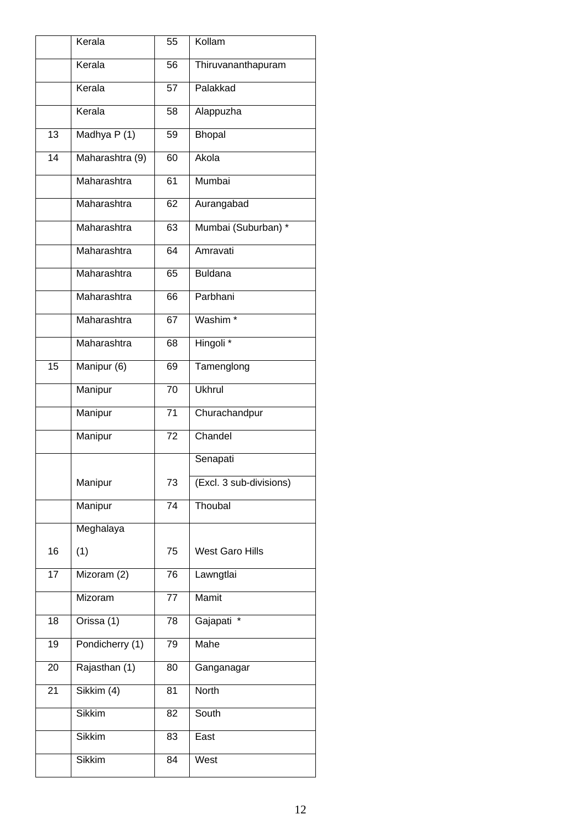|                 | Kerala          | 55              | Kollam                  |
|-----------------|-----------------|-----------------|-------------------------|
|                 | Kerala          | 56              | Thiruvananthapuram      |
|                 | Kerala          | $\overline{57}$ | Palakkad                |
|                 | Kerala          | 58              | Alappuzha               |
| 13              | Madhya P(1)     | 59              | Bhopal                  |
| $\overline{14}$ | Maharashtra (9) | 60              | Akola                   |
|                 | Maharashtra     | 61              | Mumbai                  |
|                 | Maharashtra     | 62              | Aurangabad              |
|                 | Maharashtra     | 63              | Mumbai (Suburban) *     |
|                 | Maharashtra     | 64              | Amravati                |
|                 | Maharashtra     | 65              | <b>Buldana</b>          |
|                 | Maharashtra     | 66              | Parbhani                |
|                 | Maharashtra     | 67              | Washim <sup>*</sup>     |
|                 | Maharashtra     | 68              | Hingoli <sup>*</sup>    |
| 15              | Manipur (6)     | 69              | Tamenglong              |
|                 | Manipur         | 70              | <b>Ukhrul</b>           |
|                 | Manipur         | $\overline{71}$ | Churachandpur           |
|                 | Manipur         | 72              | Chandel                 |
|                 |                 |                 | Senapati                |
|                 | Manipur         | 73              | (Excl. 3 sub-divisions) |
|                 | Manipur         | 74              | Thoubal                 |
|                 | Meghalaya       |                 |                         |
| 16              | (1)             | 75              | <b>West Garo Hills</b>  |
| $\overline{17}$ | Mizoram (2)     | 76              | Lawngtlai               |
|                 | Mizoram         | 77              | <b>Mamit</b>            |
| 18              | Orissa (1)      | 78              | Gajapati                |
| 19              | Pondicherry (1) | $\overline{79}$ | Mahe                    |
| 20              | Rajasthan (1)   | 80              | Ganganagar              |
| 21              | Sikkim (4)      | 81              | North                   |
|                 | <b>Sikkim</b>   | 82              | South                   |
|                 | <b>Sikkim</b>   | 83              | East                    |
|                 | <b>Sikkim</b>   | 84              | West                    |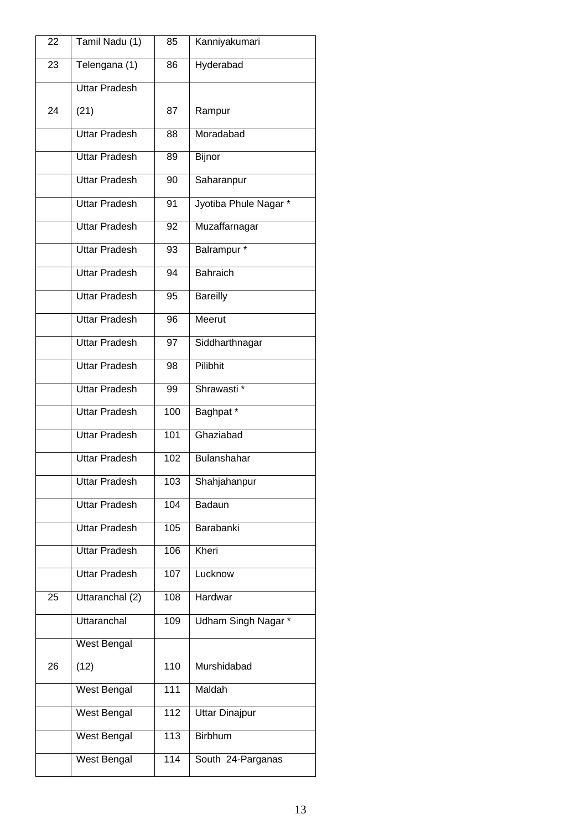| 22 | Tamil Nadu (1)       | 85  | Kanniyakumari         |
|----|----------------------|-----|-----------------------|
| 23 | Telengana (1)        | 86  | Hyderabad             |
|    | <b>Uttar Pradesh</b> |     |                       |
| 24 | (21)                 | 87  | Rampur                |
|    | <b>Uttar Pradesh</b> | 88  | Moradabad             |
|    | <b>Uttar Pradesh</b> | 89  | <b>Bijnor</b>         |
|    | <b>Uttar Pradesh</b> | 90  | Saharanpur            |
|    | <b>Uttar Pradesh</b> | 91  | Jyotiba Phule Nagar*  |
|    | <b>Uttar Pradesh</b> | 92  | Muzaffarnagar         |
|    | <b>Uttar Pradesh</b> | 93  | Balrampur *           |
|    | <b>Uttar Pradesh</b> | 94  | <b>Bahraich</b>       |
|    | <b>Uttar Pradesh</b> | 95  | <b>Bareilly</b>       |
|    | <b>Uttar Pradesh</b> | 96  | Meerut                |
|    | <b>Uttar Pradesh</b> | 97  | Siddharthnagar        |
|    | <b>Uttar Pradesh</b> | 98  | Pilibhit              |
|    | <b>Uttar Pradesh</b> | 99  | Shrawasti*            |
|    | <b>Uttar Pradesh</b> | 100 | Baghpat <sup>*</sup>  |
|    | <b>Uttar Pradesh</b> | 101 | Ghaziabad             |
|    | <b>Uttar Pradesh</b> | 102 | Bulanshahar           |
|    | <b>Uttar Pradesh</b> | 103 | Shahjahanpur          |
|    | <b>Uttar Pradesh</b> | 104 | Badaun                |
|    | <b>Uttar Pradesh</b> | 105 | Barabanki             |
|    | <b>Uttar Pradesh</b> | 106 | Kheri                 |
|    | <b>Uttar Pradesh</b> | 107 | Lucknow               |
| 25 | Uttaranchal (2)      | 108 | Hardwar               |
|    | Uttaranchal          | 109 | Udham Singh Nagar *   |
|    | West Bengal          |     |                       |
| 26 | (12)                 | 110 | Murshidabad           |
|    | West Bengal          | 111 | Maldah                |
|    | West Bengal          | 112 | <b>Uttar Dinajpur</b> |
|    | West Bengal          | 113 | <b>Birbhum</b>        |
|    | West Bengal          | 114 | South 24-Parganas     |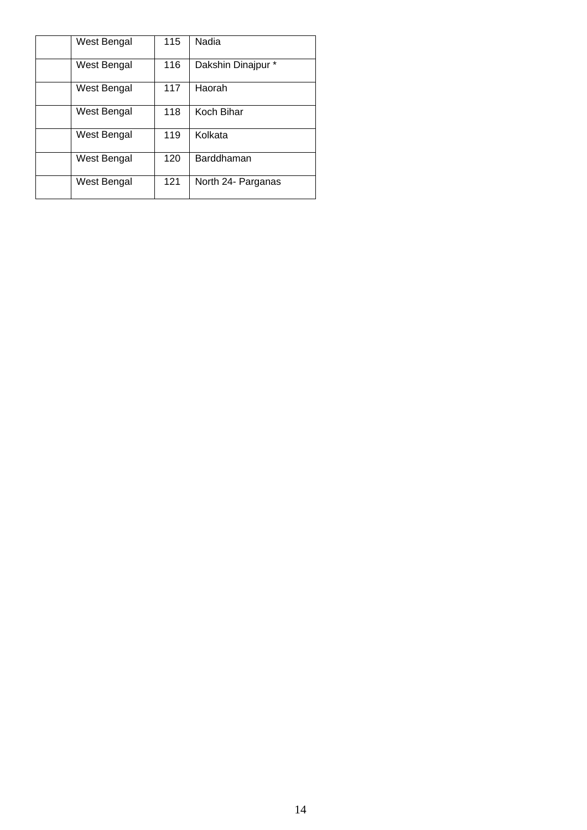| West Bengal | 115 | Nadia              |
|-------------|-----|--------------------|
| West Bengal | 116 | Dakshin Dinajpur * |
| West Bengal | 117 | Haorah             |
| West Bengal | 118 | Koch Bihar         |
| West Bengal | 119 | Kolkata            |
| West Bengal | 120 | Barddhaman         |
| West Bengal | 121 | North 24- Parganas |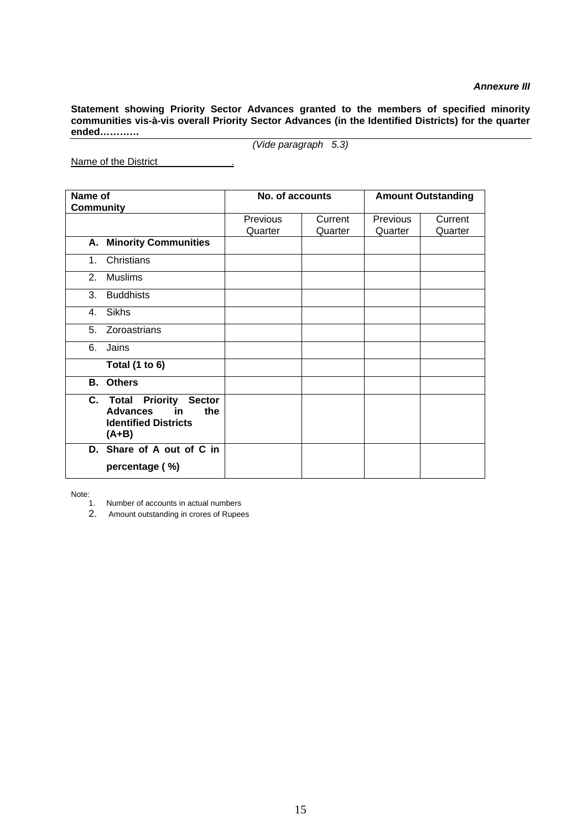#### *Annexure III*

**Statement showing Priority Sector Advances granted to the members of specified minority communities vis-à-vis overall Priority Sector Advances (in the Identified Districts) for the quarter ended…………**

*(Vide paragraph 5.3)*

Name of the District .

| Name of          |                                                                                                     | No. of accounts |         | <b>Amount Outstanding</b> |         |  |  |
|------------------|-----------------------------------------------------------------------------------------------------|-----------------|---------|---------------------------|---------|--|--|
| <b>Community</b> |                                                                                                     |                 |         |                           |         |  |  |
|                  |                                                                                                     | Previous        | Current | Previous                  | Current |  |  |
|                  |                                                                                                     | Quarter         | Quarter | Quarter                   | Quarter |  |  |
|                  | <b>A. Minority Communities</b>                                                                      |                 |         |                           |         |  |  |
| $1_{-}$          | Christians                                                                                          |                 |         |                           |         |  |  |
|                  | 2. Muslims                                                                                          |                 |         |                           |         |  |  |
| 3 <sub>1</sub>   | <b>Buddhists</b>                                                                                    |                 |         |                           |         |  |  |
| $4_{\cdot}$      | <b>Sikhs</b>                                                                                        |                 |         |                           |         |  |  |
|                  | 5. Zoroastrians                                                                                     |                 |         |                           |         |  |  |
| 6.               | Jains                                                                                               |                 |         |                           |         |  |  |
|                  | Total $(1 to 6)$                                                                                    |                 |         |                           |         |  |  |
|                  | <b>B.</b> Others                                                                                    |                 |         |                           |         |  |  |
|                  | C. Total Priority Sector<br><b>Advances</b><br>the<br>in.<br><b>Identified Districts</b><br>$(A+B)$ |                 |         |                           |         |  |  |
|                  | D. Share of A out of C in<br>percentage (%)                                                         |                 |         |                           |         |  |  |

Note:

1. Number of accounts in actual numbers

2. Amount outstanding in crores of Rupees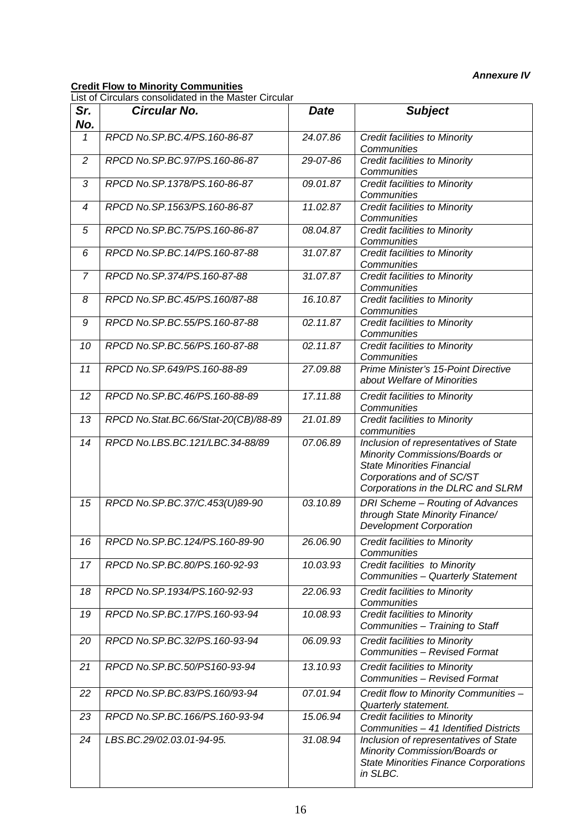#### *Annexure IV*

#### **Credit Flow to Minority Communities**

List of Circulars consolidated in the Master Circular

| Sr.<br>No.     | <b>Circular No.</b>                  | <b>Date</b> | <b>Subject</b>                                                                                                                                                                 |
|----------------|--------------------------------------|-------------|--------------------------------------------------------------------------------------------------------------------------------------------------------------------------------|
| 1              | RPCD No.SP.BC.4/PS.160-86-87         | 24.07.86    | Credit facilities to Minority<br>Communities                                                                                                                                   |
| $\overline{2}$ | RPCD No.SP.BC.97/PS.160-86-87        | 29-07-86    | <b>Credit facilities to Minority</b><br>Communities                                                                                                                            |
| 3              | RPCD No.SP.1378/PS.160-86-87         | 09.01.87    | <b>Credit facilities to Minority</b><br>Communities                                                                                                                            |
| 4              | RPCD No.SP.1563/PS.160-86-87         | 11.02.87    | <b>Credit facilities to Minority</b><br>Communities                                                                                                                            |
| 5              | RPCD No.SP.BC.75/PS.160-86-87        | 08.04.87    | <b>Credit facilities to Minority</b><br>Communities                                                                                                                            |
| 6              | RPCD No.SP.BC.14/PS.160-87-88        | 31.07.87    | <b>Credit facilities to Minority</b><br>Communities                                                                                                                            |
| $\overline{7}$ | RPCD No.SP.374/PS.160-87-88          | 31.07.87    | <b>Credit facilities to Minority</b><br>Communities                                                                                                                            |
| 8              | RPCD No.SP.BC.45/PS.160/87-88        | 16.10.87    | <b>Credit facilities to Minority</b><br>Communities                                                                                                                            |
| 9              | RPCD No.SP.BC.55/PS.160-87-88        | 02.11.87    | Credit facilities to Minority<br>Communities                                                                                                                                   |
| 10             | RPCD No.SP.BC.56/PS.160-87-88        | 02.11.87    | <b>Credit facilities to Minority</b><br>Communities                                                                                                                            |
| 11             | RPCD No.SP.649/PS.160-88-89          | 27.09.88    | Prime Minister's 15-Point Directive<br>about Welfare of Minorities                                                                                                             |
| 12             | RPCD No.SP.BC.46/PS.160-88-89        | 17.11.88    | Credit facilities to Minority<br>Communities                                                                                                                                   |
| 13             | RPCD No.Stat.BC.66/Stat-20(CB)/88-89 | 21.01.89    | <b>Credit facilities to Minority</b><br>communities                                                                                                                            |
| 14             | RPCD No.LBS.BC.121/LBC.34-88/89      | 07.06.89    | Inclusion of representatives of State<br>Minority Commissions/Boards or<br><b>State Minorities Financial</b><br>Corporations and of SC/ST<br>Corporations in the DLRC and SLRM |
| 15             | RPCD No.SP.BC.37/C.453(U)89-90       | 03.10.89    | DRI Scheme - Routing of Advances<br>through State Minority Finance/<br><b>Development Corporation</b>                                                                          |
| 16             | RPCD No.SP.BC.124/PS.160-89-90       | 26.06.90    | Credit facilities to Minority<br>Communities                                                                                                                                   |
| 17             | RPCD No.SP.BC.80/PS.160-92-93        | 10.03.93    | Credit facilities to Minority<br>Communities - Quarterly Statement                                                                                                             |
| 18             | RPCD No.SP.1934/PS.160-92-93         | 22.06.93    | <b>Credit facilities to Minority</b><br>Communities                                                                                                                            |
| 19             | RPCD No.SP.BC.17/PS.160-93-94        | 10.08.93    | <b>Credit facilities to Minority</b><br>Communities - Training to Staff                                                                                                        |
| 20             | RPCD No.SP.BC.32/PS.160-93-94        | 06.09.93    | <b>Credit facilities to Minority</b><br>Communities - Revised Format                                                                                                           |
| 21             | RPCD No.SP.BC.50/PS160-93-94         | 13.10.93    | <b>Credit facilities to Minority</b><br>Communities - Revised Format                                                                                                           |
| 22             | RPCD No.SP.BC.83/PS.160/93-94        | 07.01.94    | Credit flow to Minority Communities -<br>Quarterly statement.                                                                                                                  |
| 23             | RPCD No.SP.BC.166/PS.160-93-94       | 15.06.94    | <b>Credit facilities to Minority</b><br>Communities - 41 Identified Districts                                                                                                  |
| 24             | LBS.BC.29/02.03.01-94-95.            | 31.08.94    | Inclusion of representatives of State<br>Minority Commission/Boards or<br><b>State Minorities Finance Corporations</b><br>in SLBC.                                             |